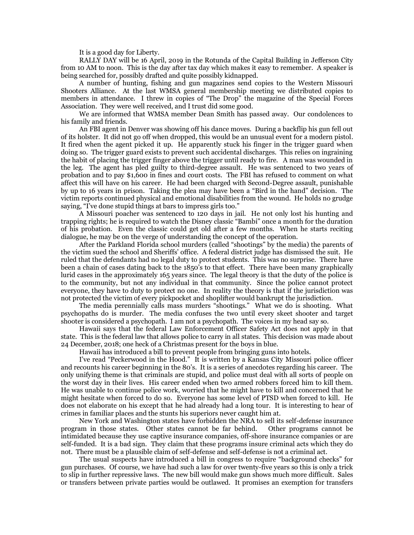It is a good day for Liberty.

RALLY DAY will be 16 April, 2019 in the Rotunda of the Capital Building in Jefferson City from 10 AM to noon. This is the day after tax day which makes it easy to remember. A speaker is being searched for, possibly drafted and quite possibly kidnapped.

A number of hunting, fishing and gun magazines send copies to the Western Missouri Shooters Alliance. At the last WMSA general membership meeting we distributed copies to members in attendance. I threw in copies of "The Drop" the magazine of the Special Forces Association. They were well received, and I trust did some good.

We are informed that WMSA member Dean Smith has passed away. Our condolences to his family and friends.

An FBI agent in Denver was showing off his dance moves. During a backflip his gun fell out of its holster. It did not go off when dropped, this would be an unusual event for a modern pistol. It fired when the agent picked it up. He apparently stuck his finger in the trigger guard when doing so. The trigger guard exists to prevent such accidental discharges. This relies on ingraining the habit of placing the trigger finger above the trigger until ready to fire. A man was wounded in the leg. The agent has pled guilty to third-degree assault. He was sentenced to two years of probation and to pay \$1,600 in fines and court costs. The FBI has refused to comment on what affect this will have on his career. He had been charged with Second-Degree assault, punishable by up to 16 years in prison. Taking the plea may have been a "Bird in the hand" decision. The victim reports continued physical and emotional disabilities from the wound. He holds no grudge saying, "I've done stupid things at bars to impress girls too."

A Missouri poacher was sentenced to 120 days in jail. He not only lost his hunting and trapping rights; he is required to watch the Disney classic "Bambi" once a month for the duration of his probation. Even the classic could get old after a few months. When he starts reciting dialogue, he may be on the verge of understanding the concept of the operation.

After the Parkland Florida school murders (called "shootings" by the media) the parents of the victim sued the school and Sheriffs' office. A federal district judge has dismissed the suit. He ruled that the defendants had no legal duty to protect students. This was no surprise. There have been a chain of cases dating back to the 1850's to that effect. There have been many graphically lurid cases in the approximately 165 years since. The legal theory is that the duty of the police is to the community, but not any individual in that community. Since the police cannot protect everyone, they have to duty to protect no one. In reality the theory is that if the jurisdiction was not protected the victim of every pickpocket and shoplifter would bankrupt the jurisdiction.

The media perennially calls mass murders "shootings." What we do is shooting. What psychopaths do is murder. The media confuses the two until every skeet shooter and target shooter is considered a psychopath. I am not a psychopath. The voices in my head say so.

Hawaii says that the federal Law Enforcement Officer Safety Act does not apply in that state. This is the federal law that allows police to carry in all states. This decision was made about 24 December, 2018; one heck of a Christmas present for the boys in blue.

Hawaii has introduced a bill to prevent people from bringing guns into hotels.

I've read "Peckerwood in the Hood." It is written by a Kansas City Missouri police officer and recounts his career beginning in the 80's. It is a series of anecdotes regarding his career. The only unifying theme is that criminals are stupid, and police must deal with all sorts of people on the worst day in their lives. His career ended when two armed robbers forced him to kill them. He was unable to continue police work, worried that he might have to kill and concerned that he might hesitate when forced to do so. Everyone has some level of PTSD when forced to kill. He does not elaborate on his except that he had already had a long tour. It is interesting to hear of crimes in familiar places and the stunts his superiors never caught him at.

New York and Washington states have forbidden the NRA to sell its self-defense insurance program in those states. Other states cannot be far behind. Other programs cannot be intimidated because they use captive insurance companies, off-shore insurance companies or are self-funded. It is a bad sign. They claim that these programs insure criminal acts which they do not. There must be a plausible claim of self-defense and self-defense is not a criminal act.

The usual suspects have introduced a bill in congress to require "background checks" for gun purchases. Of course, we have had such a law for over twenty-five years so this is only a trick to slip in further repressive laws. The new bill would make gun shows much more difficult. Sales or transfers between private parties would be outlawed. It promises an exemption for transfers